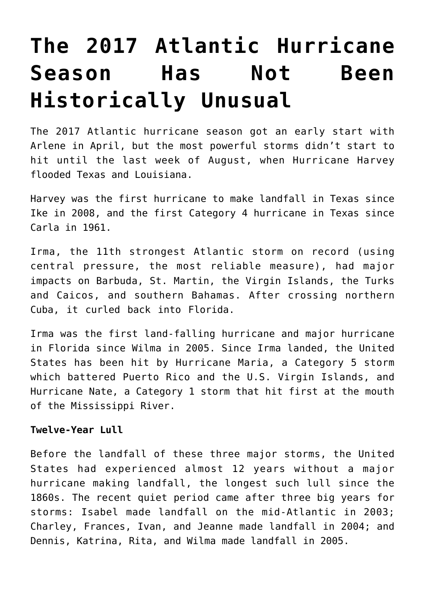# **[The 2017 Atlantic Hurricane](https://intellectualtakeout.org/2017/11/the-2017-atlantic-hurricane-season-has-not-been-historically-unusual/) [Season Has Not Been](https://intellectualtakeout.org/2017/11/the-2017-atlantic-hurricane-season-has-not-been-historically-unusual/) [Historically Unusual](https://intellectualtakeout.org/2017/11/the-2017-atlantic-hurricane-season-has-not-been-historically-unusual/)**

The 2017 Atlantic hurricane season got an early start with Arlene in April, but the most powerful storms didn't start to hit until the last week of August, when Hurricane Harvey flooded Texas and Louisiana.

Harvey was the first hurricane to make landfall in Texas since Ike in 2008, and the first Category 4 hurricane in Texas since Carla in 1961.

Irma, the 11th strongest Atlantic storm on record (using central pressure, the most reliable measure), had major impacts on Barbuda, St. Martin, the Virgin Islands, the Turks and Caicos, and southern Bahamas. After crossing northern Cuba, it curled back into Florida.

Irma was the first land-falling hurricane and major hurricane in Florida since Wilma in 2005. Since Irma landed, the United States has been hit by Hurricane Maria, a Category 5 storm which battered Puerto Rico and the U.S. Virgin Islands, and Hurricane Nate, a Category 1 storm that hit first at the mouth of the Mississippi River.

## **Twelve-Year Lull**

Before the landfall of these three major storms, the United States had experienced almost 12 years without a major hurricane making landfall, the longest such lull since the 1860s. The recent quiet period came after three big years for storms: Isabel made landfall on the mid-Atlantic in 2003; Charley, Frances, Ivan, and Jeanne made landfall in 2004; and Dennis, Katrina, Rita, and Wilma made landfall in 2005.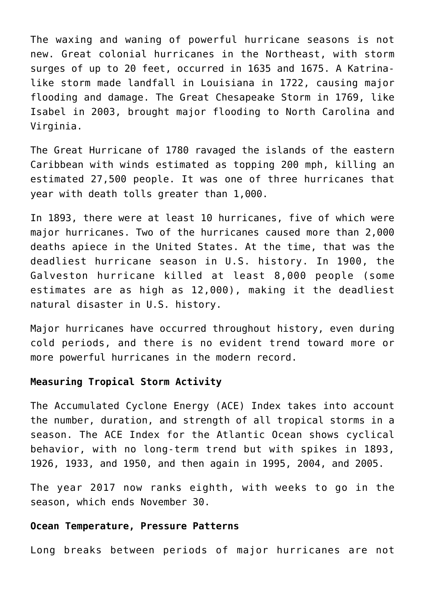The waxing and waning of powerful hurricane seasons is not new. Great colonial hurricanes in the Northeast, with storm surges of up to 20 feet, occurred in 1635 and 1675. A Katrinalike storm made landfall in Louisiana in 1722, causing major flooding and damage. The Great Chesapeake Storm in 1769, like Isabel in 2003, brought major flooding to North Carolina and Virginia.

The Great Hurricane of 1780 ravaged the islands of the eastern Caribbean with winds estimated as topping 200 mph, killing an estimated 27,500 people. It was one of three hurricanes that year with death tolls greater than 1,000.

In 1893, there were at least 10 hurricanes, five of which were major hurricanes. Two of the hurricanes caused more than 2,000 deaths apiece in the United States. At the time, that was the deadliest hurricane season in U.S. history. In 1900, the Galveston hurricane killed at least 8,000 people (some estimates are as high as 12,000), making it the deadliest natural disaster in U.S. history.

Major hurricanes have occurred throughout history, even during cold periods, and there is no evident trend toward more or more powerful hurricanes in the modern record.

## **Measuring Tropical Storm Activity**

The Accumulated Cyclone Energy (ACE) Index takes into account the number, duration, and strength of all tropical storms in a season. The ACE Index for the Atlantic Ocean shows cyclical behavior, with no long-term trend but with spikes in 1893, 1926, 1933, and 1950, and then again in 1995, 2004, and 2005.

The year 2017 now ranks eighth, with weeks to go in the season, which ends November 30.

#### **Ocean Temperature, Pressure Patterns**

Long breaks between periods of major hurricanes are not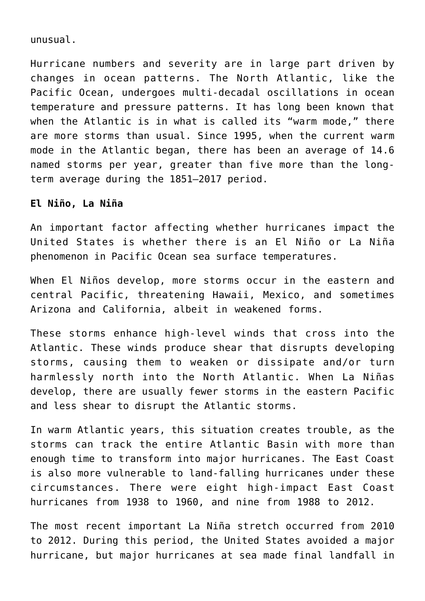unusual.

Hurricane numbers and severity are in large part driven by changes in ocean patterns. The North Atlantic, like the Pacific Ocean, undergoes multi-decadal oscillations in ocean temperature and pressure patterns. It has long been known that when the Atlantic is in what is called its "warm mode," there are more storms than usual. Since 1995, when the current warm mode in the Atlantic began, there has been an average of 14.6 named storms per year, greater than five more than the longterm average during the 1851–2017 period.

#### **El Niño, La Niña**

An important factor affecting whether hurricanes impact the United States is whether there is an El Niño or La Niña phenomenon in Pacific Ocean sea surface temperatures.

When El Niños develop, more storms occur in the eastern and central Pacific, threatening Hawaii, Mexico, and sometimes Arizona and California, albeit in weakened forms.

These storms enhance high-level winds that cross into the Atlantic. These winds produce shear that disrupts developing storms, causing them to weaken or dissipate and/or turn harmlessly north into the North Atlantic. When La Niñas develop, there are usually fewer storms in the eastern Pacific and less shear to disrupt the Atlantic storms.

In warm Atlantic years, this situation creates trouble, as the storms can track the entire Atlantic Basin with more than enough time to transform into major hurricanes. The East Coast is also more vulnerable to land-falling hurricanes under these circumstances. There were eight high-impact East Coast hurricanes from 1938 to 1960, and nine from 1988 to 2012.

The most recent important La Niña stretch occurred from 2010 to 2012. During this period, the United States avoided a major hurricane, but major hurricanes at sea made final landfall in